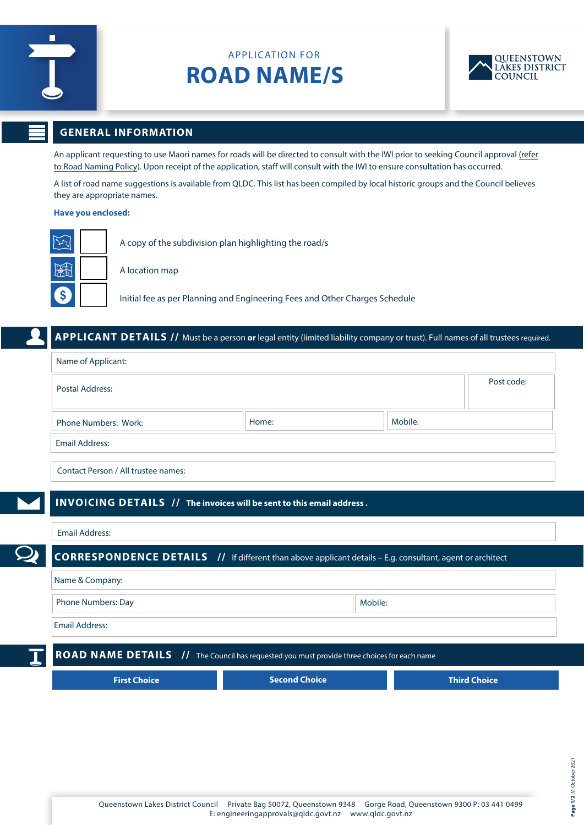

# APPLICATION FOR **ROAD NAME/S**



# **GENERAL INFORMATION**

An applicant requesting to use Maori names for roads will be directed to consult with the IWI prior to seeking Council approval (refer to Road Naming Policy). Upon receipt of the application, staff will consult with the IWI to ensure consultation has occurred.

A list of road name suggestions is available from QLDC. This list has been compiled by local historic groups and the Council believes they are appropriate names.

#### **Have you enclosed:**

|                            | A copy of the subdivision plan highlighting the road/s                      |
|----------------------------|-----------------------------------------------------------------------------|
| <b>FOR</b>                 | A location map                                                              |
| $\lceil \mathsf{s} \rceil$ | Initial fee as per Planning and Engineering Fees and Other Charges Schedule |

## **APPLICANT DETAILS //** Must be a person **or** legal entity (limited liability company or trust). Full names of all trustees required.

| Name of Applicant:                  |       |         |            |  |  |
|-------------------------------------|-------|---------|------------|--|--|
| Postal Address:                     |       |         | Post code: |  |  |
| <b>Phone Numbers: Work:</b>         | Home: | Mobile: |            |  |  |
| <b>Email Address:</b>               |       |         |            |  |  |
| Contact Person / All trustee names: |       |         |            |  |  |

## **INVOICING DETAILS // The invoices will be sent to this email address .**

### Email Address:

**CORRESPONDENCE DETAILS //** If different than above applicant details – E.g. consultant, agent or architect

| Phone Numbers: Day | Mobile: |
|--------------------|---------|
|--------------------|---------|

Email Address:

**ROAD NAME DETAILS** // The Council has requested you must provide three choices for each name

| First Choice | Second Choice <b>\</b> | Third Choice |
|--------------|------------------------|--------------|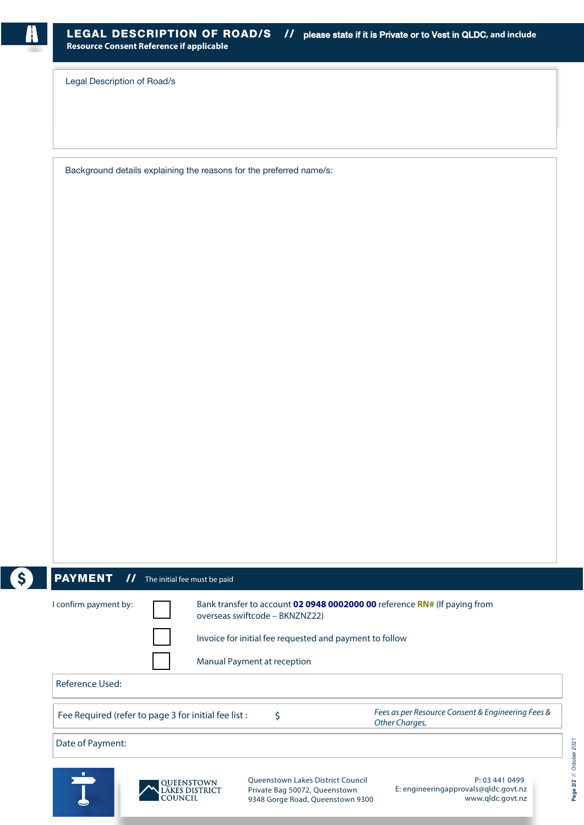Legal Description of Road/s

Background details explaining the reasons for the preferred name/s:



## PAYMENT // The initial fee must be paid

| confirm payment by: |  |
|---------------------|--|
|                     |  |



I confirm payment by: Bank transfer to account **02 0948 0002000 00** reference **RN#** (If paying from overseas swiftcode – BKNZNZ22)

Invoice for initial fee requested and payment to follow

Manual Payment at reception

Reference Used:

Fee Required (refer to page 3 for initial fee list :  $\qquad \qquad$  \$

Fees as per Resource Consent & Engineering Fees & Other Charges,

Date of Payment:





Queenstown Lakes District Council Private Bag 50072, Queenstown 9348 Gorge Road, Queenstown 9300

P: 03 441 0499 E: engineeringapprovals@qldc.govt.nz www.qldc.govt.nz